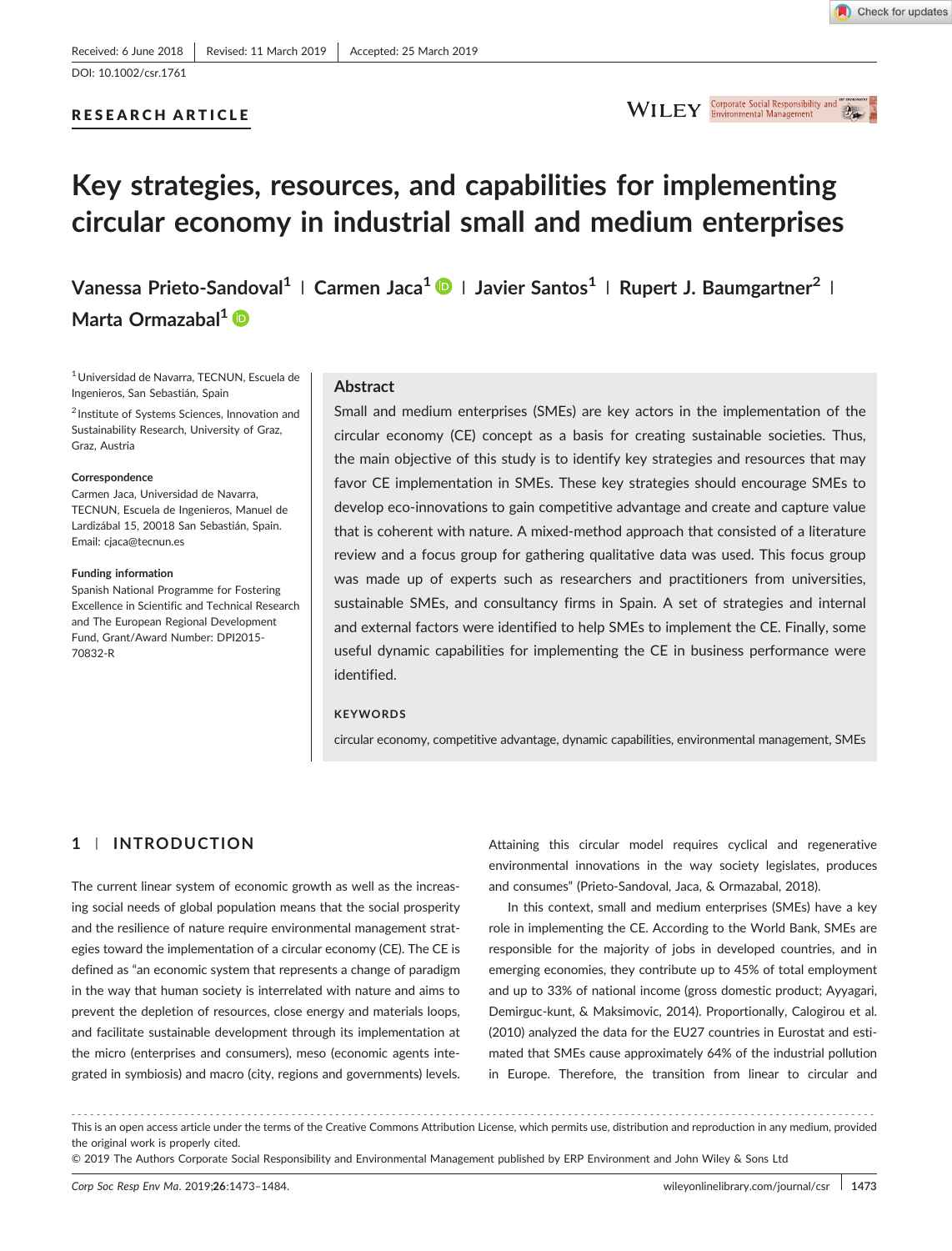## RESEARCH ARTICLE



# **Key strategies, resources, and capabilities for implementing circular economy in industrial small and medium enterprises**

**Vanessa Prieto‐Sandoval<sup>1</sup> <sup>|</sup> Carmen Jaca1 <sup>|</sup> Javier Santos<sup>1</sup> <sup>|</sup> Rupert J. Baumgartner<sup>2</sup> <sup>|</sup>** Marta Ormazabal<sup>1</sup> D

1Universidad de Navarra, TECNUN, Escuela de Ingenieros, San Sebastián, Spain

<sup>2</sup> Institute of Systems Sciences, Innovation and Sustainability Research, University of Graz, Graz, Austria

#### **Correspondence**

Carmen Jaca, Universidad de Navarra, TECNUN, Escuela de Ingenieros, Manuel de Lardizábal 15, 20018 San Sebastián, Spain. Email: cjaca@tecnun.es

#### **Funding information**

Spanish National Programme for Fostering Excellence in Scientific and Technical Research and The European Regional Development Fund, Grant/Award Number: DPI2015‐ 70832‐R

#### **Abstract**

Small and medium enterprises (SMEs) are key actors in the implementation of the circular economy (CE) concept as a basis for creating sustainable societies. Thus, the main objective of this study is to identify key strategies and resources that may favor CE implementation in SMEs. These key strategies should encourage SMEs to develop eco‐innovations to gain competitive advantage and create and capture value that is coherent with nature. A mixed‐method approach that consisted of a literature review and a focus group for gathering qualitative data was used. This focus group was made up of experts such as researchers and practitioners from universities, sustainable SMEs, and consultancy firms in Spain. A set of strategies and internal and external factors were identified to help SMEs to implement the CE. Finally, some useful dynamic capabilities for implementing the CE in business performance were identified.

## **KEYWORDS**

circular economy, competitive advantage, dynamic capabilities, environmental management, SMEs

# **1** | **INTRODUCTION**

The current linear system of economic growth as well as the increasing social needs of global population means that the social prosperity and the resilience of nature require environmental management strategies toward the implementation of a circular economy (CE). The CE is defined as "an economic system that represents a change of paradigm in the way that human society is interrelated with nature and aims to prevent the depletion of resources, close energy and materials loops, and facilitate sustainable development through its implementation at the micro (enterprises and consumers), meso (economic agents integrated in symbiosis) and macro (city, regions and governments) levels.

Attaining this circular model requires cyclical and regenerative environmental innovations in the way society legislates, produces and consumes" (Prieto‐Sandoval, Jaca, & Ormazabal, 2018).

In this context, small and medium enterprises (SMEs) have a key role in implementing the CE. According to the World Bank, SMEs are responsible for the majority of jobs in developed countries, and in emerging economies, they contribute up to 45% of total employment and up to 33% of national income (gross domestic product; Ayyagari, Demirguc‐kunt, & Maksimovic, 2014). Proportionally, Calogirou et al. (2010) analyzed the data for the EU27 countries in Eurostat and estimated that SMEs cause approximately 64% of the industrial pollution in Europe. Therefore, the transition from linear to circular and

<sup>-------------------------------------------------------------------------------------------------------------------------------</sup> - This is an open access article under the terms of the [Creative Commons Attribution](http://creativecommons.org/licenses/by/4.0/) License, which permits use, distribution and reproduction in any medium, provided the original work is properly cited.

<sup>© 2019</sup> The Authors Corporate Social Responsibility and Environmental Management published by ERP Environment and John Wiley & Sons Ltd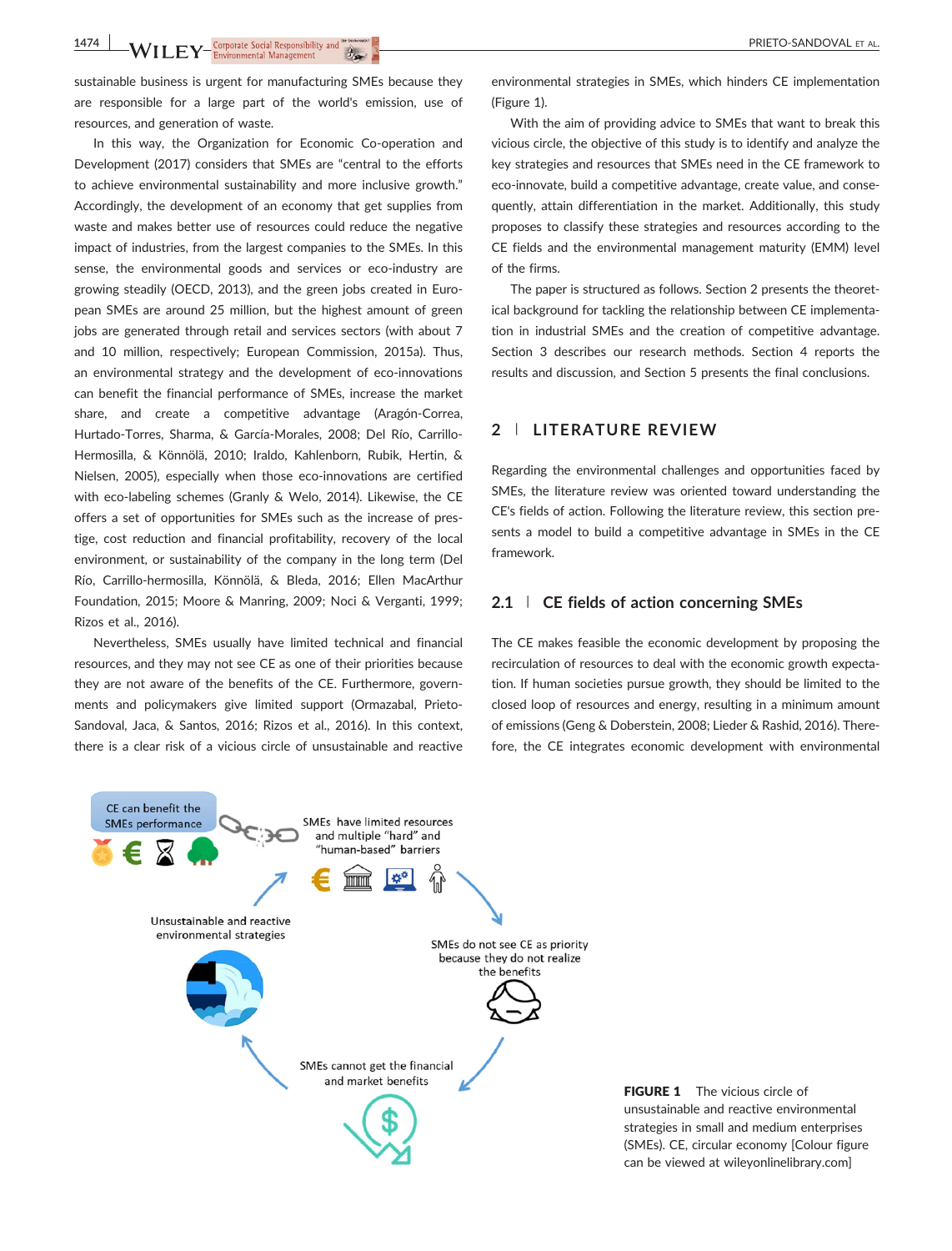**1474 WILEY** Corporate Social Responsibility and **the properation of the contract of the Contract of Corporate Social Responsibility and the properation of the contract of the properation of the contract of the contract of** 

sustainable business is urgent for manufacturing SMEs because they are responsible for a large part of the world's emission, use of resources, and generation of waste.

In this way, the Organization for Economic Co-operation and Development (2017) considers that SMEs are "central to the efforts to achieve environmental sustainability and more inclusive growth." Accordingly, the development of an economy that get supplies from waste and makes better use of resources could reduce the negative impact of industries, from the largest companies to the SMEs. In this sense, the environmental goods and services or eco-industry are growing steadily (OECD, 2013), and the green jobs created in European SMEs are around 25 million, but the highest amount of green jobs are generated through retail and services sectors (with about 7 and 10 million, respectively; European Commission, 2015a). Thus, an environmental strategy and the development of eco-innovations can benefit the financial performance of SMEs, increase the market share, and create a competitive advantage (Aragón‐Correa, Hurtado‐Torres, Sharma, & García‐Morales, 2008; Del Río, Carrillo‐ Hermosilla, & Könnölä, 2010; Iraldo, Kahlenborn, Rubik, Hertin, & Nielsen, 2005), especially when those eco-innovations are certified with eco-labeling schemes (Granly & Welo, 2014). Likewise, the CE offers a set of opportunities for SMEs such as the increase of prestige, cost reduction and financial profitability, recovery of the local environment, or sustainability of the company in the long term (Del Río, Carrillo‐hermosilla, Könnölä, & Bleda, 2016; Ellen MacArthur Foundation, 2015; Moore & Manring, 2009; Noci & Verganti, 1999; Rizos et al., 2016).

Nevertheless, SMEs usually have limited technical and financial resources, and they may not see CE as one of their priorities because they are not aware of the benefits of the CE. Furthermore, governments and policymakers give limited support (Ormazabal, Prieto-Sandoval, Jaca, & Santos, 2016; Rizos et al., 2016). In this context, there is a clear risk of a vicious circle of unsustainable and reactive

environmental strategies in SMEs, which hinders CE implementation (Figure 1).

With the aim of providing advice to SMEs that want to break this vicious circle, the objective of this study is to identify and analyze the key strategies and resources that SMEs need in the CE framework to eco-innovate, build a competitive advantage, create value, and consequently, attain differentiation in the market. Additionally, this study proposes to classify these strategies and resources according to the CE fields and the environmental management maturity (EMM) level of the firms.

The paper is structured as follows. Section 2 presents the theoretical background for tackling the relationship between CE implementation in industrial SMEs and the creation of competitive advantage. Section 3 describes our research methods. Section 4 reports the results and discussion, and Section 5 presents the final conclusions.

## **2** | **LITERATURE REVIEW**

Regarding the environmental challenges and opportunities faced by SMEs, the literature review was oriented toward understanding the CE's fields of action. Following the literature review, this section presents a model to build a competitive advantage in SMEs in the CE framework.

## **2.1** | **CE fields of action concerning SMEs**

The CE makes feasible the economic development by proposing the recirculation of resources to deal with the economic growth expectation. If human societies pursue growth, they should be limited to the closed loop of resources and energy, resulting in a minimum amount of emissions (Geng & Doberstein, 2008; Lieder & Rashid, 2016). Therefore, the CE integrates economic development with environmental



FIGURE 1 The vicious circle of unsustainable and reactive environmental strategies in small and medium enterprises (SMEs). CE, circular economy [Colour figure can be viewed at [wileyonlinelibrary.com\]](http://wileyonlinelibrary.com)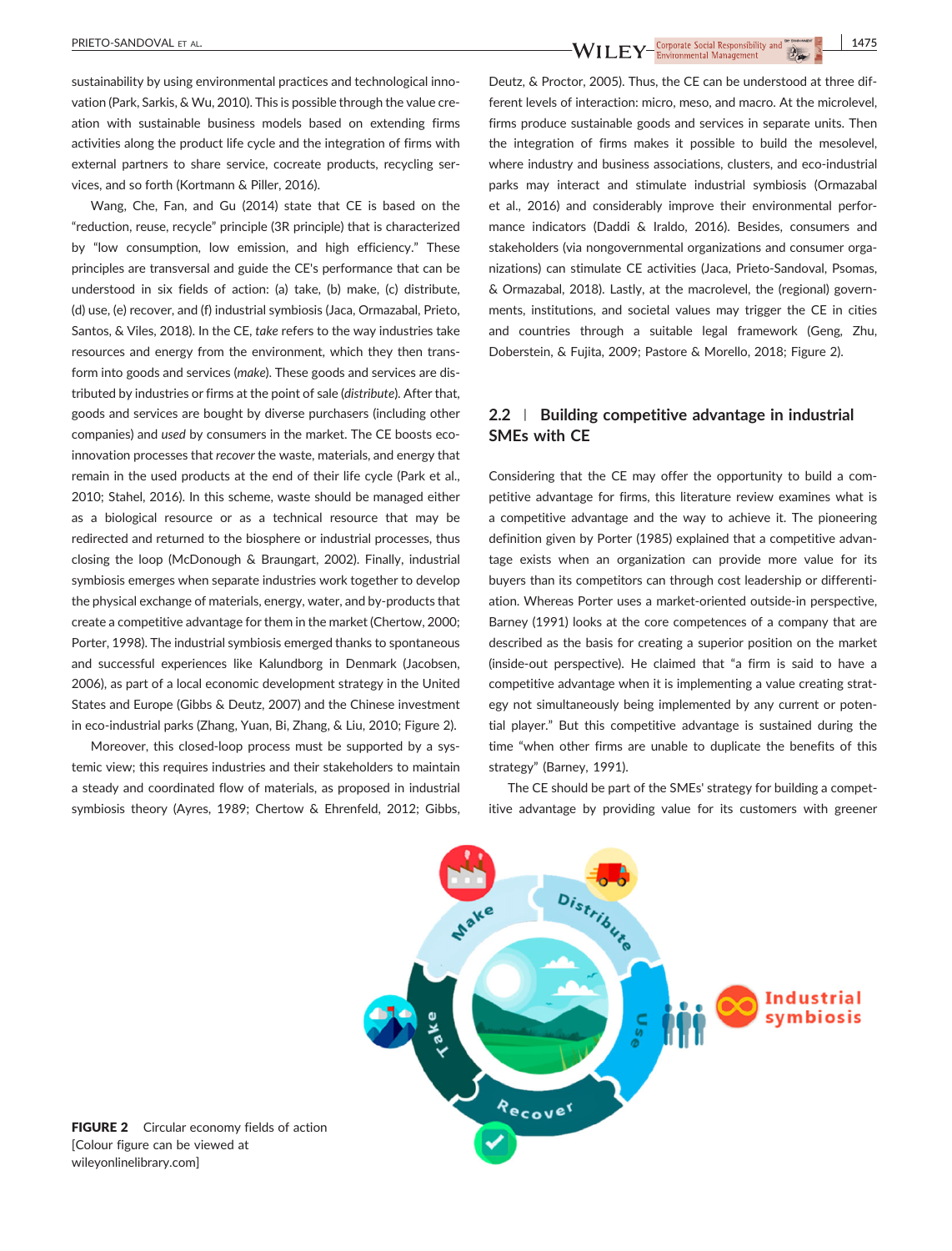sustainability by using environmental practices and technological innovation (Park, Sarkis, & Wu, 2010). This is possible through the value creation with sustainable business models based on extending firms activities along the product life cycle and the integration of firms with external partners to share service, cocreate products, recycling services, and so forth (Kortmann & Piller, 2016).

Wang, Che, Fan, and Gu (2014) state that CE is based on the "reduction, reuse, recycle" principle (3R principle) that is characterized by "low consumption, low emission, and high efficiency." These principles are transversal and guide the CE's performance that can be understood in six fields of action: (a) take, (b) make, (c) distribute, (d) use, (e) recover, and (f) industrial symbiosis (Jaca, Ormazabal, Prieto, Santos, & Viles, 2018). In the CE, *take* refers to the way industries take resources and energy from the environment, which they then transform into goods and services (*make*). These goods and services are distributed by industries or firms at the point of sale (*distribute*). After that, goods and services are bought by diverse purchasers (including other companies) and *used* by consumers in the market. The CE boosts ecoinnovation processes that *recover* the waste, materials, and energy that remain in the used products at the end of their life cycle (Park et al., 2010; Stahel, 2016). In this scheme, waste should be managed either as a biological resource or as a technical resource that may be redirected and returned to the biosphere or industrial processes, thus closing the loop (McDonough & Braungart, 2002). Finally, industrial symbiosis emerges when separate industries work together to develop the physical exchange of materials, energy, water, and by‐products that create a competitive advantage for them in the market (Chertow, 2000; Porter, 1998). The industrial symbiosis emerged thanks to spontaneous and successful experiences like Kalundborg in Denmark (Jacobsen, 2006), as part of a local economic development strategy in the United States and Europe (Gibbs & Deutz, 2007) and the Chinese investment in eco-industrial parks (Zhang, Yuan, Bi, Zhang, & Liu, 2010; Figure 2).

Moreover, this closed-loop process must be supported by a systemic view; this requires industries and their stakeholders to maintain a steady and coordinated flow of materials, as proposed in industrial symbiosis theory (Ayres, 1989; Chertow & Ehrenfeld, 2012; Gibbs,

Deutz, & Proctor, 2005). Thus, the CE can be understood at three different levels of interaction: micro, meso, and macro. At the microlevel, firms produce sustainable goods and services in separate units. Then the integration of firms makes it possible to build the mesolevel, where industry and business associations, clusters, and eco-industrial parks may interact and stimulate industrial symbiosis (Ormazabal et al., 2016) and considerably improve their environmental performance indicators (Daddi & Iraldo, 2016). Besides, consumers and stakeholders (via nongovernmental organizations and consumer organizations) can stimulate CE activities (Jaca, Prieto‐Sandoval, Psomas, & Ormazabal, 2018). Lastly, at the macrolevel, the (regional) governments, institutions, and societal values may trigger the CE in cities and countries through a suitable legal framework (Geng, Zhu, Doberstein, & Fujita, 2009; Pastore & Morello, 2018; Figure 2).

## **2.2** | **Building competitive advantage in industrial SMEs with CE**

Considering that the CE may offer the opportunity to build a competitive advantage for firms, this literature review examines what is a competitive advantage and the way to achieve it. The pioneering definition given by Porter (1985) explained that a competitive advantage exists when an organization can provide more value for its buyers than its competitors can through cost leadership or differentiation. Whereas Porter uses a market‐oriented outside‐in perspective, Barney (1991) looks at the core competences of a company that are described as the basis for creating a superior position on the market (inside‐out perspective). He claimed that "a firm is said to have a competitive advantage when it is implementing a value creating strategy not simultaneously being implemented by any current or potential player." But this competitive advantage is sustained during the time "when other firms are unable to duplicate the benefits of this strategy" (Barney, 1991).

The CE should be part of the SMEs' strategy for building a competitive advantage by providing value for its customers with greener



FIGURE 2 Circular economy fields of action [Colour figure can be viewed at [wileyonlinelibrary.com](http://wileyonlinelibrary.com)]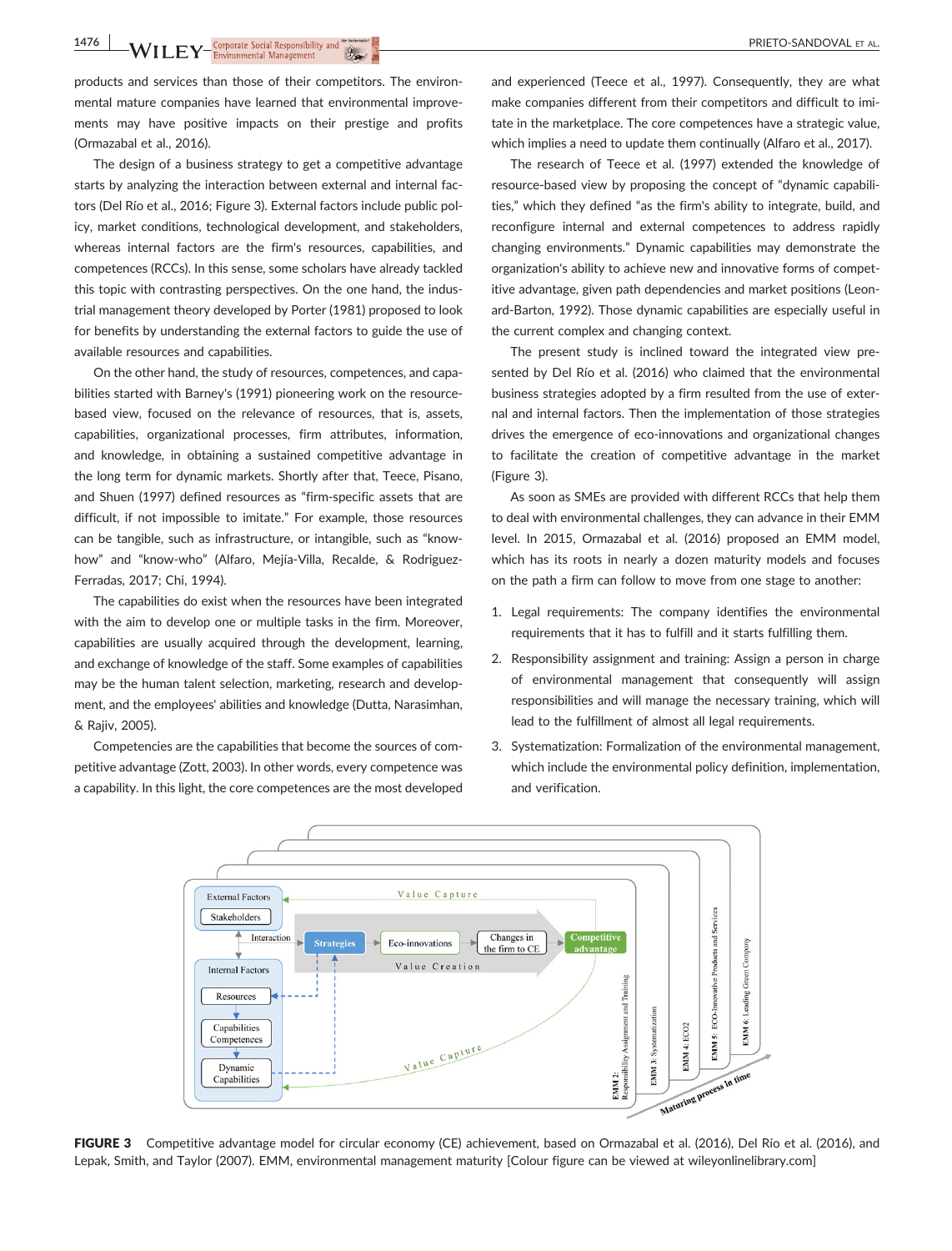**1476** NILEY Environmental Management

products and services than those of their competitors. The environmental mature companies have learned that environmental improvements may have positive impacts on their prestige and profits (Ormazabal et al., 2016).

The design of a business strategy to get a competitive advantage starts by analyzing the interaction between external and internal factors (Del Río et al., 2016; Figure 3). External factors include public policy, market conditions, technological development, and stakeholders, whereas internal factors are the firm's resources, capabilities, and competences (RCCs). In this sense, some scholars have already tackled this topic with contrasting perspectives. On the one hand, the industrial management theory developed by Porter (1981) proposed to look for benefits by understanding the external factors to guide the use of available resources and capabilities.

On the other hand, the study of resources, competences, and capabilities started with Barney's (1991) pioneering work on the resource‐ based view, focused on the relevance of resources, that is, assets, capabilities, organizational processes, firm attributes, information, and knowledge, in obtaining a sustained competitive advantage in the long term for dynamic markets. Shortly after that, Teece, Pisano, and Shuen (1997) defined resources as "firm‐specific assets that are difficult, if not impossible to imitate." For example, those resources can be tangible, such as infrastructure, or intangible, such as "know‐ how" and "know-who" (Alfaro, Mejía-Villa, Recalde, & Rodriguez-Ferradas, 2017; Chi, 1994).

The capabilities do exist when the resources have been integrated with the aim to develop one or multiple tasks in the firm. Moreover, capabilities are usually acquired through the development, learning, and exchange of knowledge of the staff. Some examples of capabilities may be the human talent selection, marketing, research and development, and the employees' abilities and knowledge (Dutta, Narasimhan, & Rajiv, 2005).

Competencies are the capabilities that become the sources of competitive advantage (Zott, 2003). In other words, every competence was a capability. In this light, the core competences are the most developed and experienced (Teece et al., 1997). Consequently, they are what make companies different from their competitors and difficult to imitate in the marketplace. The core competences have a strategic value, which implies a need to update them continually (Alfaro et al., 2017).

The research of Teece et al. (1997) extended the knowledge of resource-based view by proposing the concept of "dynamic capabilities," which they defined "as the firm's ability to integrate, build, and reconfigure internal and external competences to address rapidly changing environments." Dynamic capabilities may demonstrate the organization's ability to achieve new and innovative forms of competitive advantage, given path dependencies and market positions (Leonard‐Barton, 1992). Those dynamic capabilities are especially useful in the current complex and changing context.

The present study is inclined toward the integrated view presented by Del Río et al. (2016) who claimed that the environmental business strategies adopted by a firm resulted from the use of external and internal factors. Then the implementation of those strategies drives the emergence of eco‐innovations and organizational changes to facilitate the creation of competitive advantage in the market (Figure 3).

As soon as SMEs are provided with different RCCs that help them to deal with environmental challenges, they can advance in their EMM level. In 2015, Ormazabal et al. (2016) proposed an EMM model, which has its roots in nearly a dozen maturity models and focuses on the path a firm can follow to move from one stage to another:

- 1. Legal requirements: The company identifies the environmental requirements that it has to fulfill and it starts fulfilling them.
- 2. Responsibility assignment and training: Assign a person in charge of environmental management that consequently will assign responsibilities and will manage the necessary training, which will lead to the fulfillment of almost all legal requirements.
- 3. Systematization: Formalization of the environmental management, which include the environmental policy definition, implementation, and verification.



FIGURE 3 Competitive advantage model for circular economy (CE) achievement, based on Ormazabal et al. (2016), Del Río et al. (2016), and Lepak, Smith, and Taylor (2007). EMM, environmental management maturity [Colour figure can be viewed at [wileyonlinelibrary.com](http://wileyonlinelibrary.com)]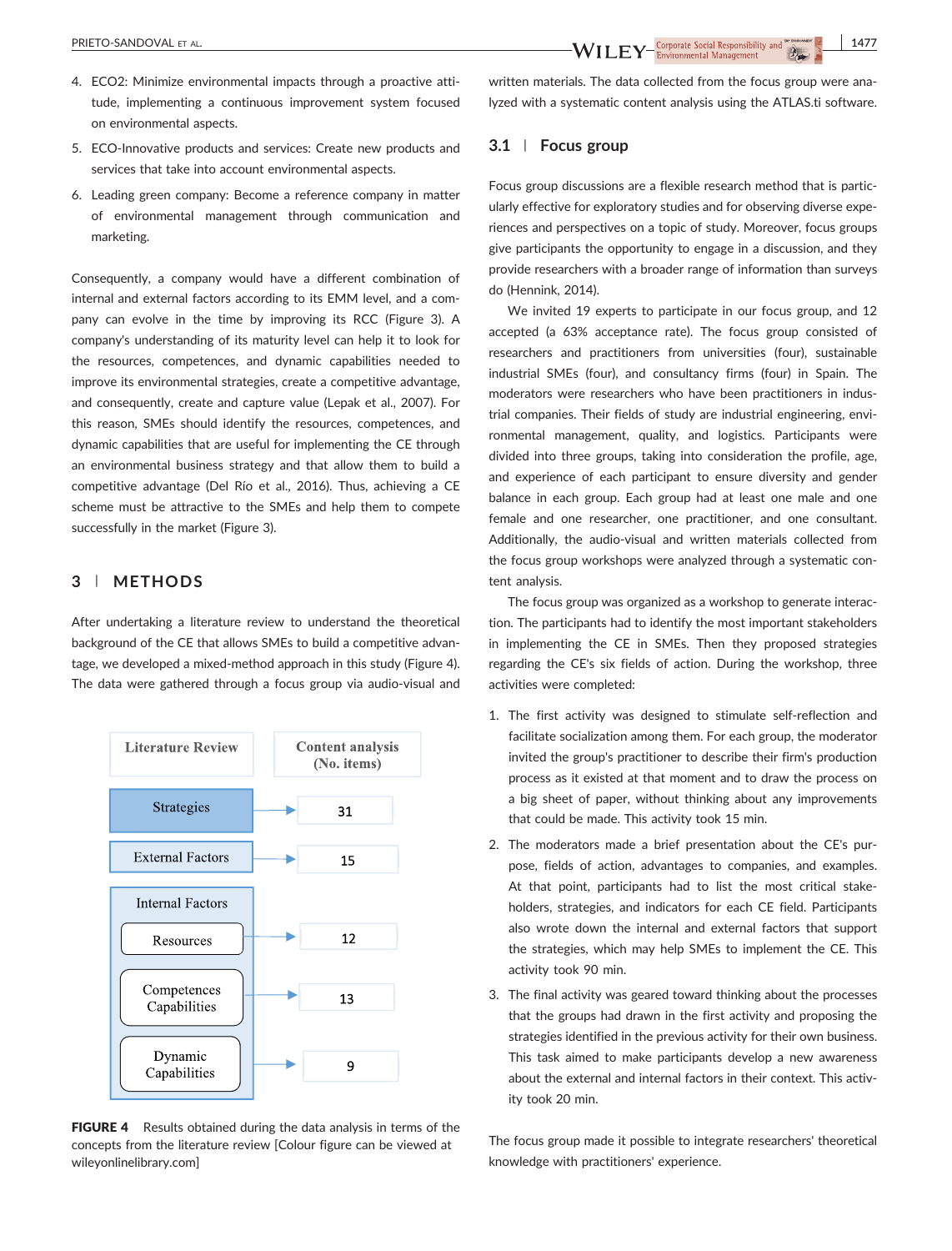- 4. ECO2: Minimize environmental impacts through a proactive attitude, implementing a continuous improvement system focused on environmental aspects.
- 5. ECO-Innovative products and services: Create new products and services that take into account environmental aspects.
- 6. Leading green company: Become a reference company in matter of environmental management through communication and marketing.

Consequently, a company would have a different combination of internal and external factors according to its EMM level, and a company can evolve in the time by improving its RCC (Figure 3). A company's understanding of its maturity level can help it to look for the resources, competences, and dynamic capabilities needed to improve its environmental strategies, create a competitive advantage, and consequently, create and capture value (Lepak et al., 2007). For this reason, SMEs should identify the resources, competences, and dynamic capabilities that are useful for implementing the CE through an environmental business strategy and that allow them to build a competitive advantage (Del Río et al., 2016). Thus, achieving a CE scheme must be attractive to the SMEs and help them to compete successfully in the market (Figure 3).

## **3** | **METHODS**

After undertaking a literature review to understand the theoretical background of the CE that allows SMEs to build a competitive advantage, we developed a mixed‐method approach in this study (Figure 4). The data were gathered through a focus group via audio‐visual and



FIGURE 4 Results obtained during the data analysis in terms of the concepts from the literature review [Colour figure can be viewed at [wileyonlinelibrary.com](http://wileyonlinelibrary.com)]

written materials. The data collected from the focus group were analyzed with a systematic content analysis using the ATLAS.ti software.

## **3.1** | **Focus group**

Focus group discussions are a flexible research method that is particularly effective for exploratory studies and for observing diverse experiences and perspectives on a topic of study. Moreover, focus groups give participants the opportunity to engage in a discussion, and they provide researchers with a broader range of information than surveys do (Hennink, 2014).

We invited 19 experts to participate in our focus group, and 12 accepted (a 63% acceptance rate). The focus group consisted of researchers and practitioners from universities (four), sustainable industrial SMEs (four), and consultancy firms (four) in Spain. The moderators were researchers who have been practitioners in industrial companies. Their fields of study are industrial engineering, environmental management, quality, and logistics. Participants were divided into three groups, taking into consideration the profile, age, and experience of each participant to ensure diversity and gender balance in each group. Each group had at least one male and one female and one researcher, one practitioner, and one consultant. Additionally, the audio‐visual and written materials collected from the focus group workshops were analyzed through a systematic content analysis.

The focus group was organized as a workshop to generate interaction. The participants had to identify the most important stakeholders in implementing the CE in SMEs. Then they proposed strategies regarding the CE's six fields of action. During the workshop, three activities were completed:

- 1. The first activity was designed to stimulate self‐reflection and facilitate socialization among them. For each group, the moderator invited the group's practitioner to describe their firm's production process as it existed at that moment and to draw the process on a big sheet of paper, without thinking about any improvements that could be made. This activity took 15 min.
- 2. The moderators made a brief presentation about the CE's purpose, fields of action, advantages to companies, and examples. At that point, participants had to list the most critical stakeholders, strategies, and indicators for each CE field. Participants also wrote down the internal and external factors that support the strategies, which may help SMEs to implement the CE. This activity took 90 min.
- 3. The final activity was geared toward thinking about the processes that the groups had drawn in the first activity and proposing the strategies identified in the previous activity for their own business. This task aimed to make participants develop a new awareness about the external and internal factors in their context. This activity took 20 min.

The focus group made it possible to integrate researchers' theoretical knowledge with practitioners' experience.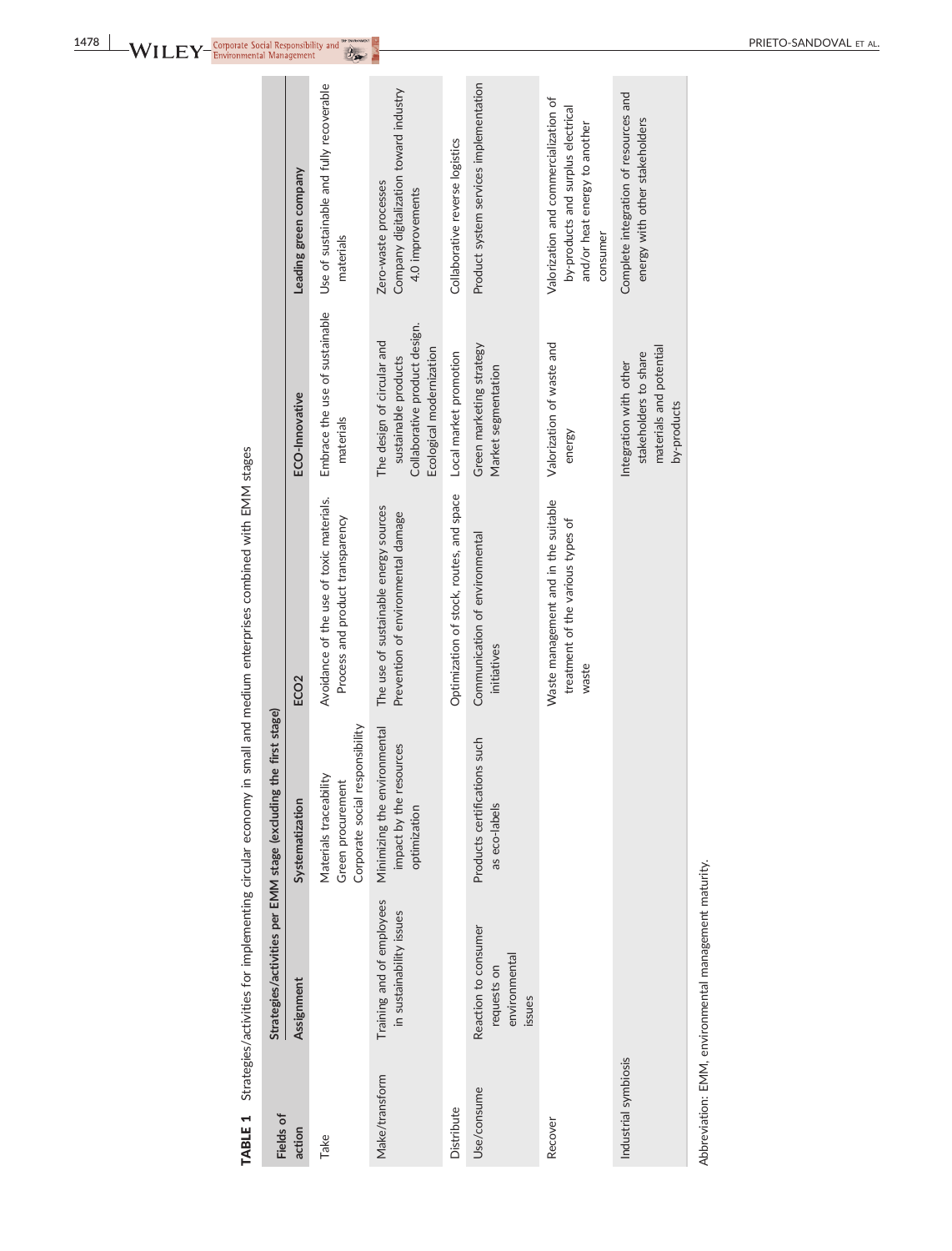| i<br>ׇ֚֘֝֬                                           |
|------------------------------------------------------|
| l<br>י                                               |
|                                                      |
|                                                      |
| Ś                                                    |
| i<br>į                                               |
|                                                      |
| $\overline{\phantom{a}}$<br>i<br>i                   |
| Ś                                                    |
|                                                      |
|                                                      |
|                                                      |
| ׇ֓֕֡<br>Ì                                            |
|                                                      |
|                                                      |
| J                                                    |
|                                                      |
|                                                      |
| ١                                                    |
| ׇ֚֬                                                  |
| Ì<br>í<br>5<br>j                                     |
| ı<br>$\overline{\phantom{a}}$<br>ABI I<br>l<br>ׇׇ֠֕֡ |

| Fields of            | Strategies/activities per EMM stage (excluding                 | the first stage)                                                               |                                                                                    |                                                                                                                 |                                                                                                                          |
|----------------------|----------------------------------------------------------------|--------------------------------------------------------------------------------|------------------------------------------------------------------------------------|-----------------------------------------------------------------------------------------------------------------|--------------------------------------------------------------------------------------------------------------------------|
| action               | Assignment                                                     | Systematization                                                                | ECO <sub>2</sub>                                                                   | ECO-Innovative                                                                                                  | Leading green company                                                                                                    |
| Take                 |                                                                | Corporate social responsibility<br>Materials traceability<br>Green procurement | Avoidance of the use of toxic materials.<br>Process and product transparency       | Embrace the use of sustainable<br>materials                                                                     | Use of sustainable and fully recoverable<br>materials                                                                    |
| Make/transform       | Training and of employees<br>in sustainability issues          | Minimizing the environmental<br>impact by the resources<br>optimization        | The use of sustainable energy sources<br>Prevention of environmental damage        | Collaborative product design.<br>The design of circular and<br>Ecological modernization<br>sustainable products | Company digitalization toward industry<br>Zero-waste processes<br>4.0 improvements                                       |
| Distribute           |                                                                |                                                                                | Optimization of stock, routes, and space                                           | Local market promotion                                                                                          | Collaborative reverse logistics                                                                                          |
| Use/consume          | Reaction to consumer<br>environmental<br>requests on<br>issues | Products certifications such<br>as eco-labels                                  | Communication of environmental<br>initiatives                                      | Green marketing strategy<br>Market segmentation                                                                 | Product system services implementation                                                                                   |
| Recover              |                                                                |                                                                                | Waste management and in the suitable<br>treatment of the various types of<br>waste | Valorization of waste and<br>energy                                                                             | Valorization and commercialization of<br>by-products and surplus electrical<br>and/or heat energy to another<br>consumer |
| Industrial symbiosis |                                                                |                                                                                |                                                                                    | materials and potential<br>stakeholders to share<br>Integration with other<br>by-products                       | Complete integration of resources and<br>energy with other stakeholders                                                  |

Abbreviation: EMM, environmental management maturity. Abbreviation: EMM, environmental management maturity.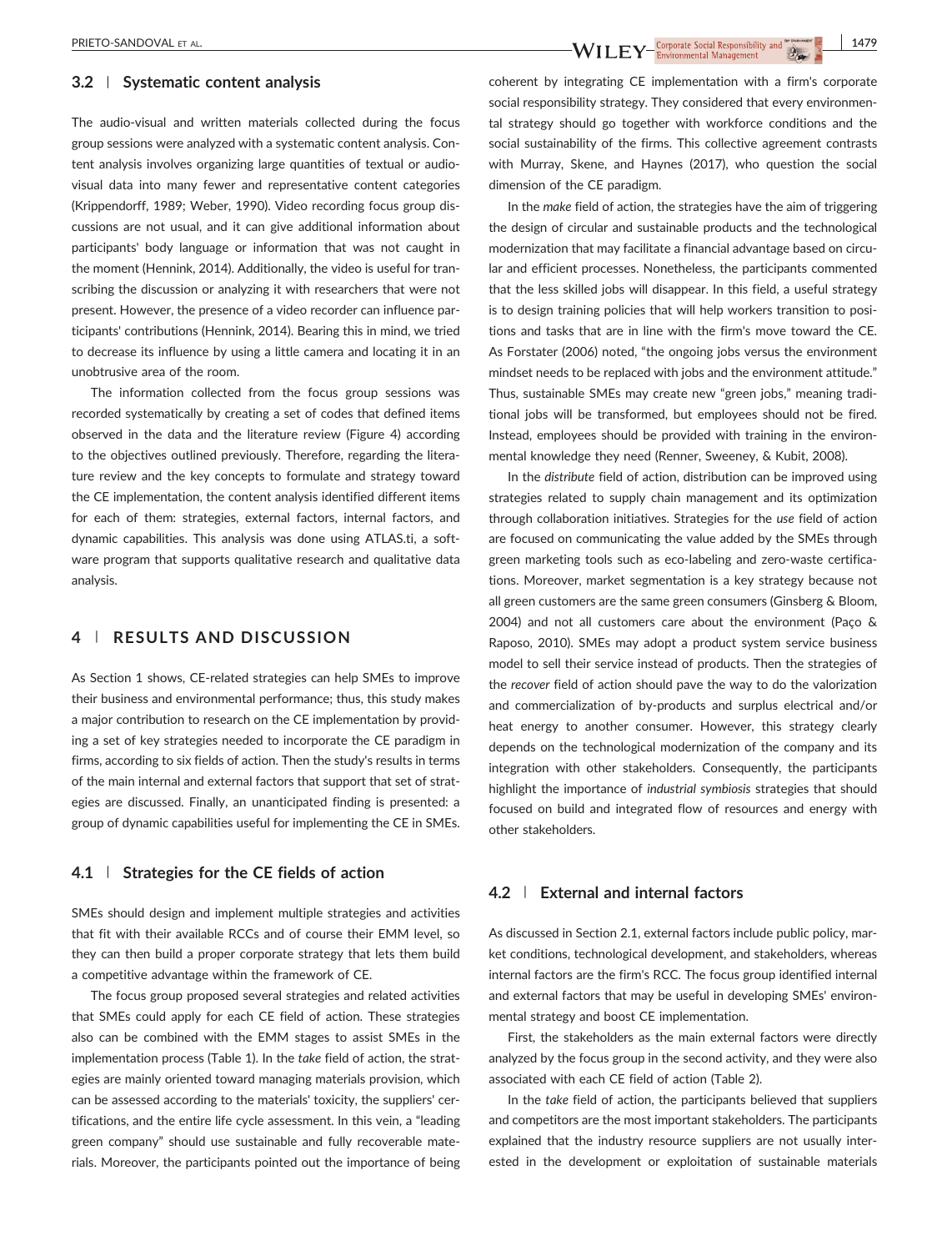## **3.2** | **Systematic content analysis**

The audio‐visual and written materials collected during the focus group sessions were analyzed with a systematic content analysis. Content analysis involves organizing large quantities of textual or audio‐ visual data into many fewer and representative content categories (Krippendorff, 1989; Weber, 1990). Video recording focus group discussions are not usual, and it can give additional information about participants' body language or information that was not caught in the moment (Hennink, 2014). Additionally, the video is useful for transcribing the discussion or analyzing it with researchers that were not present. However, the presence of a video recorder can influence participants' contributions (Hennink, 2014). Bearing this in mind, we tried to decrease its influence by using a little camera and locating it in an unobtrusive area of the room.

The information collected from the focus group sessions was recorded systematically by creating a set of codes that defined items observed in the data and the literature review (Figure 4) according to the objectives outlined previously. Therefore, regarding the literature review and the key concepts to formulate and strategy toward the CE implementation, the content analysis identified different items for each of them: strategies, external factors, internal factors, and dynamic capabilities. This analysis was done using ATLAS.ti, a software program that supports qualitative research and qualitative data analysis.

## **4** | **RESULTS AND DISCUSSION**

As Section 1 shows, CE‐related strategies can help SMEs to improve their business and environmental performance; thus, this study makes a major contribution to research on the CE implementation by providing a set of key strategies needed to incorporate the CE paradigm in firms, according to six fields of action. Then the study's results in terms of the main internal and external factors that support that set of strategies are discussed. Finally, an unanticipated finding is presented: a group of dynamic capabilities useful for implementing the CE in SMEs.

## **4.1** | **Strategies for the CE fields of action**

SMEs should design and implement multiple strategies and activities that fit with their available RCCs and of course their EMM level, so they can then build a proper corporate strategy that lets them build a competitive advantage within the framework of CE.

The focus group proposed several strategies and related activities that SMEs could apply for each CE field of action. These strategies also can be combined with the EMM stages to assist SMEs in the implementation process (Table 1). In the *take* field of action, the strategies are mainly oriented toward managing materials provision, which can be assessed according to the materials' toxicity, the suppliers' certifications, and the entire life cycle assessment. In this vein, a "leading green company" should use sustainable and fully recoverable materials. Moreover, the participants pointed out the importance of being

coherent by integrating CE implementation with a firm's corporate social responsibility strategy. They considered that every environmental strategy should go together with workforce conditions and the social sustainability of the firms. This collective agreement contrasts with Murray, Skene, and Haynes (2017), who question the social dimension of the CE paradigm.

In the *make* field of action, the strategies have the aim of triggering the design of circular and sustainable products and the technological modernization that may facilitate a financial advantage based on circular and efficient processes. Nonetheless, the participants commented that the less skilled jobs will disappear. In this field, a useful strategy is to design training policies that will help workers transition to positions and tasks that are in line with the firm's move toward the CE. As Forstater (2006) noted, "the ongoing jobs versus the environment mindset needs to be replaced with jobs and the environment attitude." Thus, sustainable SMEs may create new "green jobs," meaning traditional jobs will be transformed, but employees should not be fired. Instead, employees should be provided with training in the environmental knowledge they need (Renner, Sweeney, & Kubit, 2008).

In the *distribute* field of action, distribution can be improved using strategies related to supply chain management and its optimization through collaboration initiatives. Strategies for the *use* field of action are focused on communicating the value added by the SMEs through green marketing tools such as eco-labeling and zero-waste certifications. Moreover, market segmentation is a key strategy because not all green customers are the same green consumers (Ginsberg & Bloom, 2004) and not all customers care about the environment (Paço & Raposo, 2010). SMEs may adopt a product system service business model to sell their service instead of products. Then the strategies of the *recover* field of action should pave the way to do the valorization and commercialization of by‐products and surplus electrical and/or heat energy to another consumer. However, this strategy clearly depends on the technological modernization of the company and its integration with other stakeholders. Consequently, the participants highlight the importance of *industrial symbiosis* strategies that should focused on build and integrated flow of resources and energy with other stakeholders.

#### **4.2** | **External and internal factors**

As discussed in Section 2.1, external factors include public policy, market conditions, technological development, and stakeholders, whereas internal factors are the firm's RCC. The focus group identified internal and external factors that may be useful in developing SMEs' environmental strategy and boost CE implementation.

First, the stakeholders as the main external factors were directly analyzed by the focus group in the second activity, and they were also associated with each CE field of action (Table 2).

In the *take* field of action, the participants believed that suppliers and competitors are the most important stakeholders. The participants explained that the industry resource suppliers are not usually interested in the development or exploitation of sustainable materials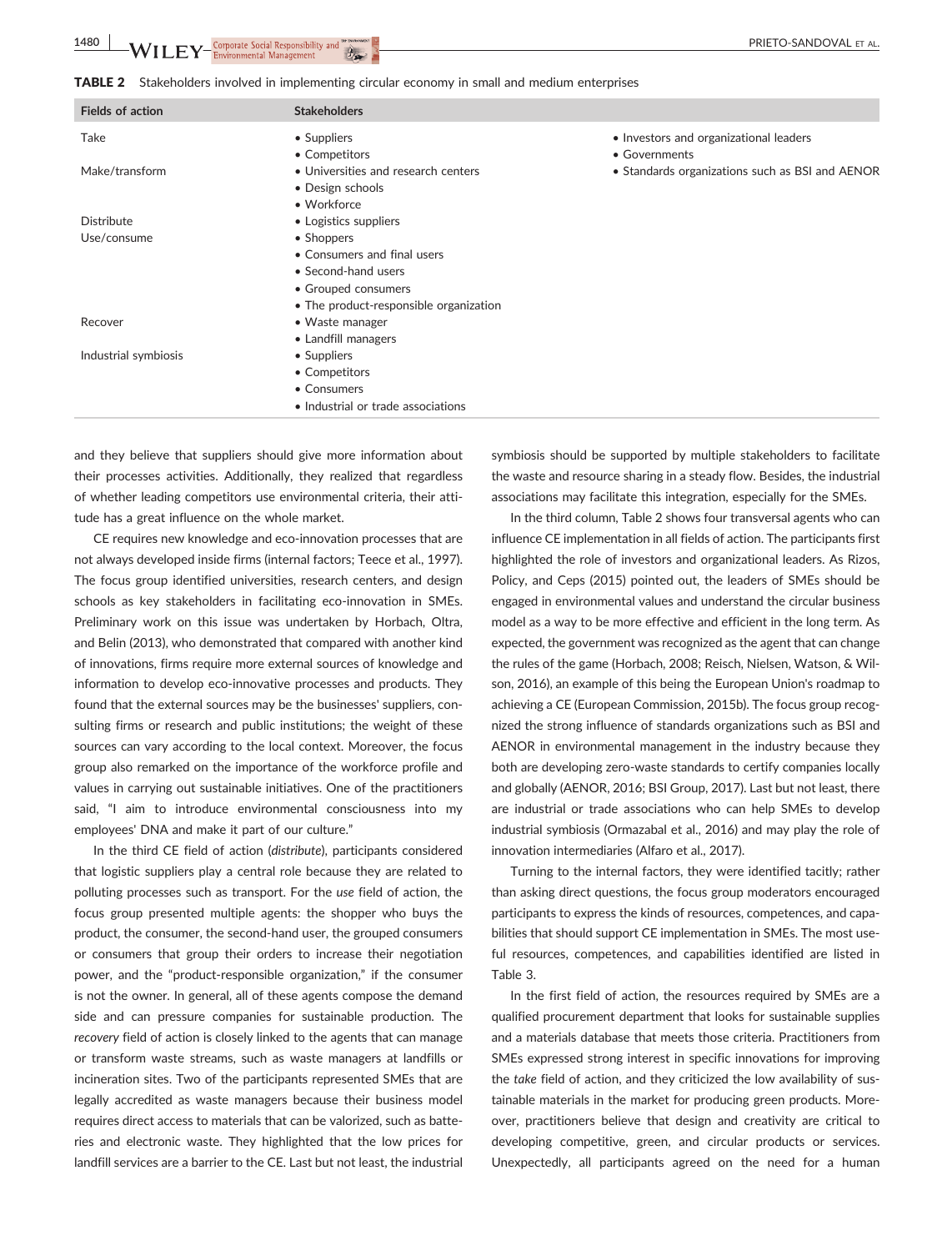**1480 WILEY** Corporate Social Responsibility and **the property of the contract of the Corporate** Social Responsibility and the contract of the contract of the contract of the contract of the contract of the contract of the

**TABLE 2** Stakeholders involved in implementing circular economy in small and medium enterprises

| <b>Fields of action</b> | <b>Stakeholders</b>                    |                                                 |
|-------------------------|----------------------------------------|-------------------------------------------------|
| Take                    | • Suppliers                            | • Investors and organizational leaders          |
|                         | • Competitors                          | • Governments                                   |
| Make/transform          | • Universities and research centers    | • Standards organizations such as BSI and AENOR |
|                         | • Design schools                       |                                                 |
|                         | • Workforce                            |                                                 |
| <b>Distribute</b>       | • Logistics suppliers                  |                                                 |
| Use/consume             | • Shoppers                             |                                                 |
|                         | • Consumers and final users            |                                                 |
|                         | • Second-hand users                    |                                                 |
|                         | • Grouped consumers                    |                                                 |
|                         | • The product-responsible organization |                                                 |
| Recover                 | • Waste manager                        |                                                 |
|                         | • Landfill managers                    |                                                 |
| Industrial symbiosis    | • Suppliers                            |                                                 |
|                         | • Competitors                          |                                                 |
|                         | • Consumers                            |                                                 |
|                         | • Industrial or trade associations     |                                                 |
|                         |                                        |                                                 |

and they believe that suppliers should give more information about their processes activities. Additionally, they realized that regardless of whether leading competitors use environmental criteria, their attitude has a great influence on the whole market.

CE requires new knowledge and eco‐innovation processes that are not always developed inside firms (internal factors; Teece et al., 1997). The focus group identified universities, research centers, and design schools as key stakeholders in facilitating eco-innovation in SMEs. Preliminary work on this issue was undertaken by Horbach, Oltra, and Belin (2013), who demonstrated that compared with another kind of innovations, firms require more external sources of knowledge and information to develop eco-innovative processes and products. They found that the external sources may be the businesses' suppliers, consulting firms or research and public institutions; the weight of these sources can vary according to the local context. Moreover, the focus group also remarked on the importance of the workforce profile and values in carrying out sustainable initiatives. One of the practitioners said, "I aim to introduce environmental consciousness into my employees' DNA and make it part of our culture."

In the third CE field of action (*distribute*), participants considered that logistic suppliers play a central role because they are related to polluting processes such as transport. For the *use* field of action, the focus group presented multiple agents: the shopper who buys the product, the consumer, the second‐hand user, the grouped consumers or consumers that group their orders to increase their negotiation power, and the "product‐responsible organization," if the consumer is not the owner. In general, all of these agents compose the demand side and can pressure companies for sustainable production. The *recovery* field of action is closely linked to the agents that can manage or transform waste streams, such as waste managers at landfills or incineration sites. Two of the participants represented SMEs that are legally accredited as waste managers because their business model requires direct access to materials that can be valorized, such as batteries and electronic waste. They highlighted that the low prices for landfill services are a barrier to the CE. Last but not least, the industrial symbiosis should be supported by multiple stakeholders to facilitate the waste and resource sharing in a steady flow. Besides, the industrial associations may facilitate this integration, especially for the SMEs.

In the third column, Table 2 shows four transversal agents who can influence CE implementation in all fields of action. The participants first highlighted the role of investors and organizational leaders. As Rizos, Policy, and Ceps (2015) pointed out, the leaders of SMEs should be engaged in environmental values and understand the circular business model as a way to be more effective and efficient in the long term. As expected, the government was recognized as the agent that can change the rules of the game (Horbach, 2008; Reisch, Nielsen, Watson, & Wilson, 2016), an example of this being the European Union's roadmap to achieving a CE (European Commission, 2015b). The focus group recognized the strong influence of standards organizations such as BSI and AENOR in environmental management in the industry because they both are developing zero‐waste standards to certify companies locally and globally (AENOR, 2016; BSI Group, 2017). Last but not least, there are industrial or trade associations who can help SMEs to develop industrial symbiosis (Ormazabal et al., 2016) and may play the role of innovation intermediaries (Alfaro et al., 2017).

Turning to the internal factors, they were identified tacitly; rather than asking direct questions, the focus group moderators encouraged participants to express the kinds of resources, competences, and capabilities that should support CE implementation in SMEs. The most useful resources, competences, and capabilities identified are listed in Table 3.

In the first field of action, the resources required by SMEs are a qualified procurement department that looks for sustainable supplies and a materials database that meets those criteria. Practitioners from SMEs expressed strong interest in specific innovations for improving the *take* field of action, and they criticized the low availability of sustainable materials in the market for producing green products. Moreover, practitioners believe that design and creativity are critical to developing competitive, green, and circular products or services. Unexpectedly, all participants agreed on the need for a human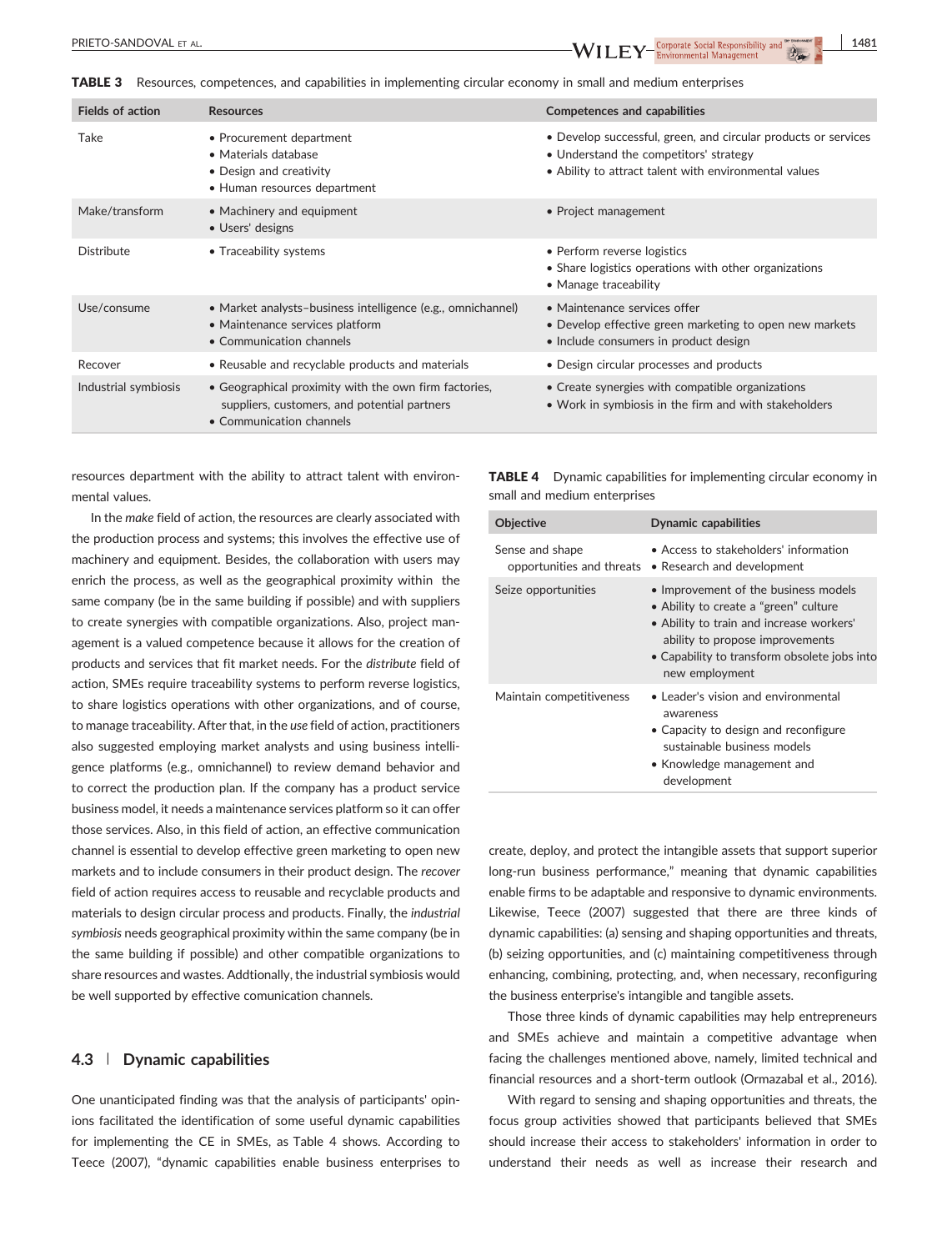TABLE 3 Resources, competences, and capabilities in implementing circular economy in small and medium enterprises

| <b>Fields of action</b> | <b>Resources</b>                                                                                                                  | <b>Competences and capabilities</b>                                                                                                                               |
|-------------------------|-----------------------------------------------------------------------------------------------------------------------------------|-------------------------------------------------------------------------------------------------------------------------------------------------------------------|
| Take                    | • Procurement department<br>• Materials database<br>• Design and creativity<br>• Human resources department                       | • Develop successful, green, and circular products or services<br>• Understand the competitors' strategy<br>• Ability to attract talent with environmental values |
| Make/transform          | • Machinery and equipment<br>• Users' designs                                                                                     | • Project management                                                                                                                                              |
| Distribute              | • Traceability systems                                                                                                            | • Perform reverse logistics<br>• Share logistics operations with other organizations<br>• Manage traceability                                                     |
| Use/consume             | • Market analysts-business intelligence (e.g., omnichannel)<br>• Maintenance services platform<br>• Communication channels        | • Maintenance services offer<br>• Develop effective green marketing to open new markets<br>• Include consumers in product design                                  |
| Recover                 | • Reusable and recyclable products and materials                                                                                  | • Design circular processes and products                                                                                                                          |
| Industrial symbiosis    | • Geographical proximity with the own firm factories,<br>suppliers, customers, and potential partners<br>• Communication channels | • Create synergies with compatible organizations<br>• Work in symbiosis in the firm and with stakeholders                                                         |

resources department with the ability to attract talent with environmental values.

In the *make* field of action, the resources are clearly associated with the production process and systems; this involves the effective use of machinery and equipment. Besides, the collaboration with users may enrich the process, as well as the geographical proximity within the same company (be in the same building if possible) and with suppliers to create synergies with compatible organizations. Also, project management is a valued competence because it allows for the creation of products and services that fit market needs. For the *distribute* field of action, SMEs require traceability systems to perform reverse logistics, to share logistics operations with other organizations, and of course, to manage traceability. After that, in the *use* field of action, practitioners also suggested employing market analysts and using business intelligence platforms (e.g., omnichannel) to review demand behavior and to correct the production plan. If the company has a product service business model, it needs a maintenance services platform so it can offer those services. Also, in this field of action, an effective communication channel is essential to develop effective green marketing to open new markets and to include consumers in their product design. The *recover* field of action requires access to reusable and recyclable products and materials to design circular process and products. Finally, the *industrial symbiosis* needs geographical proximity within the same company (be in the same building if possible) and other compatible organizations to share resources and wastes. Addtionally, the industrial symbiosis would be well supported by effective comunication channels.

#### **4.3** | **Dynamic capabilities**

One unanticipated finding was that the analysis of participants' opinions facilitated the identification of some useful dynamic capabilities for implementing the CE in SMEs, as Table 4 shows. According to Teece (2007), "dynamic capabilities enable business enterprises to

TABLE 4 Dynamic capabilities for implementing circular economy in small and medium enterprises

| <b>Objective</b>                             | <b>Dynamic capabilities</b>                                                                                                                                                                                                    |
|----------------------------------------------|--------------------------------------------------------------------------------------------------------------------------------------------------------------------------------------------------------------------------------|
| Sense and shape<br>opportunities and threats | • Access to stakeholders' information<br>• Research and development                                                                                                                                                            |
| Seize opportunities                          | • Improvement of the business models<br>• Ability to create a "green" culture<br>• Ability to train and increase workers'<br>ability to propose improvements<br>• Capability to transform obsolete jobs into<br>new employment |
| Maintain competitiveness                     | • Leader's vision and environmental<br>awareness<br>• Capacity to design and reconfigure<br>sustainable business models<br>• Knowledge management and<br>development                                                           |

create, deploy, and protect the intangible assets that support superior long-run business performance," meaning that dynamic capabilities enable firms to be adaptable and responsive to dynamic environments. Likewise, Teece (2007) suggested that there are three kinds of dynamic capabilities: (a) sensing and shaping opportunities and threats, (b) seizing opportunities, and (c) maintaining competitiveness through enhancing, combining, protecting, and, when necessary, reconfiguring the business enterprise's intangible and tangible assets.

Those three kinds of dynamic capabilities may help entrepreneurs and SMEs achieve and maintain a competitive advantage when facing the challenges mentioned above, namely, limited technical and financial resources and a short-term outlook (Ormazabal et al., 2016).

With regard to sensing and shaping opportunities and threats, the focus group activities showed that participants believed that SMEs should increase their access to stakeholders' information in order to understand their needs as well as increase their research and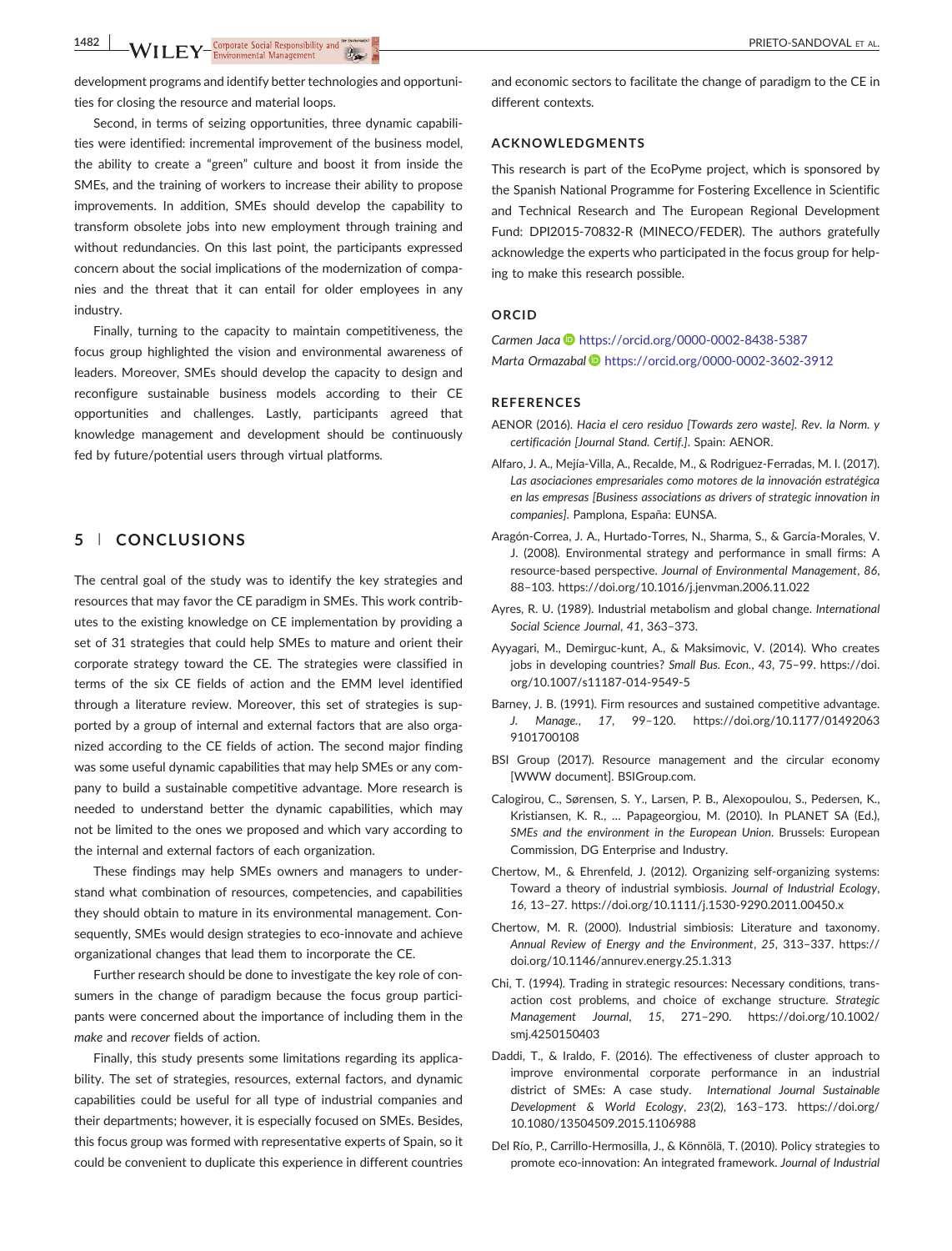development programs and identify better technologies and opportunities for closing the resource and material loops.

Second, in terms of seizing opportunities, three dynamic capabilities were identified: incremental improvement of the business model, the ability to create a "green" culture and boost it from inside the SMEs, and the training of workers to increase their ability to propose improvements. In addition, SMEs should develop the capability to transform obsolete jobs into new employment through training and without redundancies. On this last point, the participants expressed concern about the social implications of the modernization of companies and the threat that it can entail for older employees in any industry.

Finally, turning to the capacity to maintain competitiveness, the focus group highlighted the vision and environmental awareness of leaders. Moreover, SMEs should develop the capacity to design and reconfigure sustainable business models according to their CE opportunities and challenges. Lastly, participants agreed that knowledge management and development should be continuously fed by future/potential users through virtual platforms.

## **5** | **CONCLUSIONS**

The central goal of the study was to identify the key strategies and resources that may favor the CE paradigm in SMEs. This work contributes to the existing knowledge on CE implementation by providing a set of 31 strategies that could help SMEs to mature and orient their corporate strategy toward the CE. The strategies were classified in terms of the six CE fields of action and the EMM level identified through a literature review. Moreover, this set of strategies is supported by a group of internal and external factors that are also organized according to the CE fields of action. The second major finding was some useful dynamic capabilities that may help SMEs or any company to build a sustainable competitive advantage. More research is needed to understand better the dynamic capabilities, which may not be limited to the ones we proposed and which vary according to the internal and external factors of each organization.

These findings may help SMEs owners and managers to understand what combination of resources, competencies, and capabilities they should obtain to mature in its environmental management. Consequently, SMEs would design strategies to eco-innovate and achieve organizational changes that lead them to incorporate the CE.

Further research should be done to investigate the key role of consumers in the change of paradigm because the focus group participants were concerned about the importance of including them in the *make* and *recover* fields of action.

Finally, this study presents some limitations regarding its applicability. The set of strategies, resources, external factors, and dynamic capabilities could be useful for all type of industrial companies and their departments; however, it is especially focused on SMEs. Besides, this focus group was formed with representative experts of Spain, so it could be convenient to duplicate this experience in different countries

and economic sectors to facilitate the change of paradigm to the CE in different contexts.

#### **ACKNOWLEDGMENTS**

This research is part of the EcoPyme project, which is sponsored by the Spanish National Programme for Fostering Excellence in Scientific and Technical Research and The European Regional Development Fund: DPI2015‐70832‐R (MINECO/FEDER). The authors gratefully acknowledge the experts who participated in the focus group for helping to make this research possible.

#### **ORCID**

*Carmen Jaca* <https://orcid.org/0000-0002-8438-5387> *Marta Ormazabal* <https://orcid.org/0000-0002-3602-3912>

#### **REFERENCES**

- AENOR (2016). *Hacia el cero residuo [Towards zero waste]. Rev. la Norm. y certificación [Journal Stand. Certif.]*. Spain: AENOR.
- Alfaro, J. A., Mejía‐Villa, A., Recalde, M., & Rodriguez‐Ferradas, M. I. (2017). *Las asociaciones empresariales como motores de la innovación estratégica en las empresas [Business associations as drivers of strategic innovation in companies]*. Pamplona, España: EUNSA.
- Aragón‐Correa, J. A., Hurtado‐Torres, N., Sharma, S., & García‐Morales, V. J. (2008). Environmental strategy and performance in small firms: A resource‐based perspective. *Journal of Environmental Management*, *86*, 88–103.<https://doi.org/10.1016/j.jenvman.2006.11.022>
- Ayres, R. U. (1989). Industrial metabolism and global change. *International Social Science Journal*, *41*, 363–373.
- Ayyagari, M., Demirguc‐kunt, A., & Maksimovic, V. (2014). Who creates jobs in developing countries? *Small Bus. Econ.*, *43*, 75–99. [https://doi.](https://doi.org/10.1007/s11187-014-9549-5) [org/10.1007/s11187](https://doi.org/10.1007/s11187-014-9549-5)‐014‐9549‐5
- Barney, J. B. (1991). Firm resources and sustained competitive advantage. *J. Manage.*, *17*, 99–120. [https://doi.org/10.1177/01492063](https://doi.org/10.1177/014920639101700108) [9101700108](https://doi.org/10.1177/014920639101700108)
- BSI Group (2017). Resource management and the circular economy [WWW document]. [BSIGroup.com.](http://BSIGroup.com)
- Calogirou, C., Sørensen, S. Y., Larsen, P. B., Alexopoulou, S., Pedersen, K., Kristiansen, K. R., … Papageorgiou, M. (2010). In PLANET SA (Ed.), *SMEs and the environment in the European Union*. Brussels: European Commission, DG Enterprise and Industry.
- Chertow, M., & Ehrenfeld, J. (2012). Organizing self‐organizing systems: Toward a theory of industrial symbiosis. *Journal of Industrial Ecology*, *16*, 13–27. [https://doi.org/10.1111/j.1530](https://doi.org/10.1111/j.1530-9290.2011.00450.x)‐9290.2011.00450.x
- Chertow, M. R. (2000). Industrial simbiosis: Literature and taxonomy. *Annual Review of Energy and the Environment*, *25*, 313–337. [https://](https://doi.org/10.1146/annurev.energy.25.1.313) [doi.org/10.1146/annurev.energy.25.1.313](https://doi.org/10.1146/annurev.energy.25.1.313)
- Chi, T. (1994). Trading in strategic resources: Necessary conditions, transaction cost problems, and choice of exchange structure. *Strategic Management Journal*, *15*, 271–290. [https://doi.org/10.1002/](https://doi.org/10.1002/smj.4250150403) [smj.4250150403](https://doi.org/10.1002/smj.4250150403)
- Daddi, T., & Iraldo, F. (2016). The effectiveness of cluster approach to improve environmental corporate performance in an industrial district of SMEs: A case study. *International Journal Sustainable Development & World Ecology*, *23*(2), 163–173. [https://doi.org/](https://doi.org/10.1080/13504509.2015.1106988) [10.1080/13504509.2015.1106988](https://doi.org/10.1080/13504509.2015.1106988)
- Del Río, P., Carrillo‐Hermosilla, J., & Könnölä, T. (2010). Policy strategies to promote eco‐innovation: An integrated framework. *Journal of Industrial*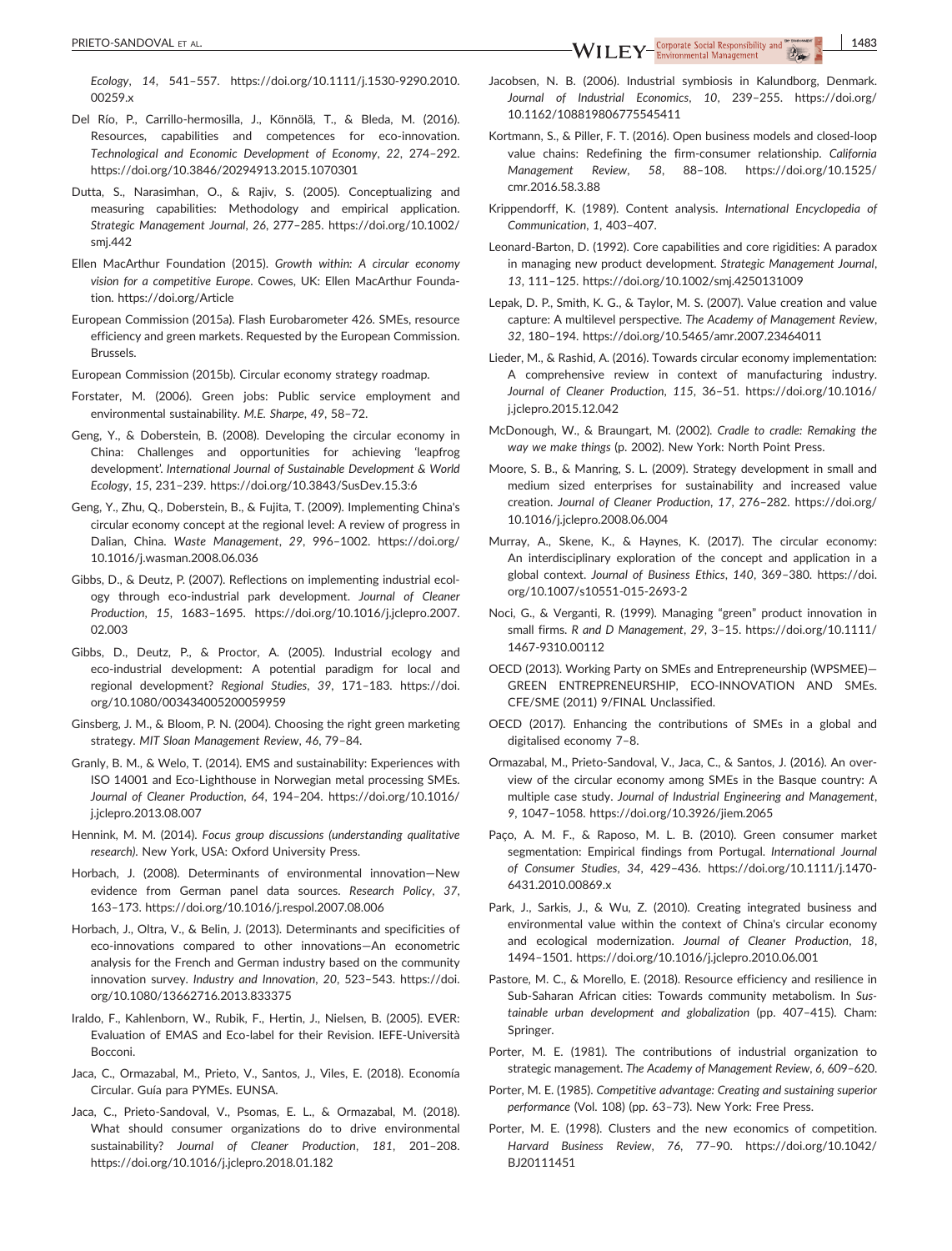PRIETO-SANDOVAL ET AL. **1483**<br> **EXECUTE AL.** The Environmental Management Management (1)

*Ecology*, *14*, 541–557. [https://doi.org/10.1111/j.1530](https://doi.org/10.1111/j.1530-9290.2010.00259.x)‐9290.2010. [00259.x](https://doi.org/10.1111/j.1530-9290.2010.00259.x)

- Del Río, P., Carrillo‐hermosilla, J., Könnölä, T., & Bleda, M. (2016). Resources, capabilities and competences for eco-innovation. *Technological and Economic Development of Economy*, *22*, 274–292. <https://doi.org/10.3846/20294913.2015.1070301>
- Dutta, S., Narasimhan, O., & Rajiv, S. (2005). Conceptualizing and measuring capabilities: Methodology and empirical application. *Strategic Management Journal*, *26*, 277–285. [https://doi.org/10.1002/](https://doi.org/10.1002/smj.442) [smj.442](https://doi.org/10.1002/smj.442)
- Ellen MacArthur Foundation (2015). *Growth within: A circular economy vision for a competitive Europe*. Cowes, UK: Ellen MacArthur Foundation.<https://doi.org/Article>
- European Commission (2015a). Flash Eurobarometer 426. SMEs, resource efficiency and green markets. Requested by the European Commission. Brussels.
- European Commission (2015b). Circular economy strategy roadmap.
- Forstater, M. (2006). Green jobs: Public service employment and environmental sustainability. *M.E. Sharpe*, *49*, 58–72.
- Geng, Y., & Doberstein, B. (2008). Developing the circular economy in China: Challenges and opportunities for achieving 'leapfrog development'. *International Journal of Sustainable Development & World Ecology*, *15*, 231–239.<https://doi.org/10.3843/SusDev.15.3:6>
- Geng, Y., Zhu, Q., Doberstein, B., & Fujita, T. (2009). Implementing China's circular economy concept at the regional level: A review of progress in Dalian, China. *Waste Management*, *29*, 996–1002. [https://doi.org/](https://doi.org/10.1016/j.wasman.2008.06.036) [10.1016/j.wasman.2008.06.036](https://doi.org/10.1016/j.wasman.2008.06.036)
- Gibbs, D., & Deutz, P. (2007). Reflections on implementing industrial ecology through eco‐industrial park development. *Journal of Cleaner Production*, *15*, 1683–1695. [https://doi.org/10.1016/j.jclepro.2007.](https://doi.org/10.1016/j.jclepro.2007.02.003) [02.003](https://doi.org/10.1016/j.jclepro.2007.02.003)
- Gibbs, D., Deutz, P., & Proctor, A. (2005). Industrial ecology and eco-industrial development: A potential paradigm for local and regional development? *Regional Studies*, *39*, 171–183. [https://doi.](https://doi.org/10.1080/003434005200059959) [org/10.1080/003434005200059959](https://doi.org/10.1080/003434005200059959)
- Ginsberg, J. M., & Bloom, P. N. (2004). Choosing the right green marketing strategy. *MIT Sloan Management Review*, *46*, 79–84.
- Granly, B. M., & Welo, T. (2014). EMS and sustainability: Experiences with ISO 14001 and Eco‐Lighthouse in Norwegian metal processing SMEs. *Journal of Cleaner Production*, *64*, 194–204. [https://doi.org/10.1016/](https://doi.org/10.1016/j.jclepro.2013.08.007) [j.jclepro.2013.08.007](https://doi.org/10.1016/j.jclepro.2013.08.007)
- Hennink, M. M. (2014). *Focus group discussions (understanding qualitative research)*. New York, USA: Oxford University Press.
- Horbach, J. (2008). Determinants of environmental innovation—New evidence from German panel data sources. *Research Policy*, *37*, 163–173.<https://doi.org/10.1016/j.respol.2007.08.006>
- Horbach, J., Oltra, V., & Belin, J. (2013). Determinants and specificities of eco-innovations compared to other innovations-An econometric analysis for the French and German industry based on the community innovation survey. *Industry and Innovation*, *20*, 523–543. [https://doi.](https://doi.org/10.1080/13662716.2013.833375) [org/10.1080/13662716.2013.833375](https://doi.org/10.1080/13662716.2013.833375)
- Iraldo, F., Kahlenborn, W., Rubik, F., Hertin, J., Nielsen, B. (2005). EVER: Evaluation of EMAS and Eco‐label for their Revision. IEFE‐Università Bocconi.
- Jaca, C., Ormazabal, M., Prieto, V., Santos, J., Viles, E. (2018). Economía Circular. Guía para PYMEs. EUNSA.
- Jaca, C., Prieto‐Sandoval, V., Psomas, E. L., & Ormazabal, M. (2018). What should consumer organizations do to drive environmental sustainability? *Journal of Cleaner Production*, *181*, 201–208. <https://doi.org/10.1016/j.jclepro.2018.01.182>
- Jacobsen, N. B. (2006). Industrial symbiosis in Kalundborg, Denmark. *Journal of Industrial Economics*, *10*, 239–255. [https://doi.org/](https://doi.org/10.1162/108819806775545411) [10.1162/108819806775545411](https://doi.org/10.1162/108819806775545411)
- Kortmann, S., & Piller, F. T. (2016). Open business models and closed‐loop value chains: Redefining the firm‐consumer relationship. *California Management Review*, *58*, 88–108. [https://doi.org/10.1525/](https://doi.org/10.1525/cmr.2016.58.3.88) [cmr.2016.58.3.88](https://doi.org/10.1525/cmr.2016.58.3.88)
- Krippendorff, K. (1989). Content analysis. *International Encyclopedia of Communication*, *1*, 403–407.
- Leonard‐Barton, D. (1992). Core capabilities and core rigidities: A paradox in managing new product development. *Strategic Management Journal*, *13*, 111–125.<https://doi.org/10.1002/smj.4250131009>
- Lepak, D. P., Smith, K. G., & Taylor, M. S. (2007). Value creation and value capture: A multilevel perspective. *The Academy of Management Review*, *32*, 180–194.<https://doi.org/10.5465/amr.2007.23464011>
- Lieder, M., & Rashid, A. (2016). Towards circular economy implementation: A comprehensive review in context of manufacturing industry. *Journal of Cleaner Production*, *115*, 36–51. [https://doi.org/10.1016/](https://doi.org/10.1016/j.jclepro.2015.12.042) [j.jclepro.2015.12.042](https://doi.org/10.1016/j.jclepro.2015.12.042)
- McDonough, W., & Braungart, M. (2002). *Cradle to cradle: Remaking the way we make things* (p. 2002). New York: North Point Press.
- Moore, S. B., & Manring, S. L. (2009). Strategy development in small and medium sized enterprises for sustainability and increased value creation. *Journal of Cleaner Production*, *17*, 276–282. [https://doi.org/](https://doi.org/10.1016/j.jclepro.2008.06.004) [10.1016/j.jclepro.2008.06.004](https://doi.org/10.1016/j.jclepro.2008.06.004)
- Murray, A., Skene, K., & Haynes, K. (2017). The circular economy: An interdisciplinary exploration of the concept and application in a global context. *Journal of Business Ethics*, *140*, 369–380. [https://doi.](https://doi.org/10.1007/s10551-015-2693-2) [org/10.1007/s10551](https://doi.org/10.1007/s10551-015-2693-2)‐015‐2693‐2
- Noci, G., & Verganti, R. (1999). Managing "green" product innovation in small firms. *R and D Management*, *29*, 3–15. [https://doi.org/10.1111/](https://doi.org/10.1111/1467-9310.00112) 1467‐[9310.00112](https://doi.org/10.1111/1467-9310.00112)
- OECD (2013). Working Party on SMEs and Entrepreneurship (WPSMEE)— GREEN ENTREPRENEURSHIP, ECO‐INNOVATION AND SMEs. CFE/SME (2011) 9/FINAL Unclassified.
- OECD (2017). Enhancing the contributions of SMEs in a global and digitalised economy 7–8.
- Ormazabal, M., Prieto‐Sandoval, V., Jaca, C., & Santos, J. (2016). An overview of the circular economy among SMEs in the Basque country: A multiple case study. *Journal of Industrial Engineering and Management*, *9*, 1047–1058.<https://doi.org/10.3926/jiem.2065>
- Paço, A. M. F., & Raposo, M. L. B. (2010). Green consumer market segmentation: Empirical findings from Portugal. *International Journal of Consumer Studies*, *34*, 429–436. [https://doi.org/10.1111/j.1470](https://doi.org/10.1111/j.1470-6431.2010.00869.x)‐ [6431.2010.00869.x](https://doi.org/10.1111/j.1470-6431.2010.00869.x)
- Park, J., Sarkis, J., & Wu, Z. (2010). Creating integrated business and environmental value within the context of China's circular economy and ecological modernization. *Journal of Cleaner Production*, *18*, 1494–1501.<https://doi.org/10.1016/j.jclepro.2010.06.001>
- Pastore, M. C., & Morello, E. (2018). Resource efficiency and resilience in Sub‐Saharan African cities: Towards community metabolism. In *Sustainable urban development and globalization* (pp. 407–415). Cham: Springer.
- Porter, M. E. (1981). The contributions of industrial organization to strategic management. *The Academy of Management Review*, *6*, 609–620.
- Porter, M. E. (1985). *Competitive advantage: Creating and sustaining superior performance* (Vol. 108) (pp. 63–73). New York: Free Press.
- Porter, M. E. (1998). Clusters and the new economics of competition. *Harvard Business Review*, *76*, 77–90. [https://doi.org/10.1042/](https://doi.org/10.1042/BJ20111451) [BJ20111451](https://doi.org/10.1042/BJ20111451)